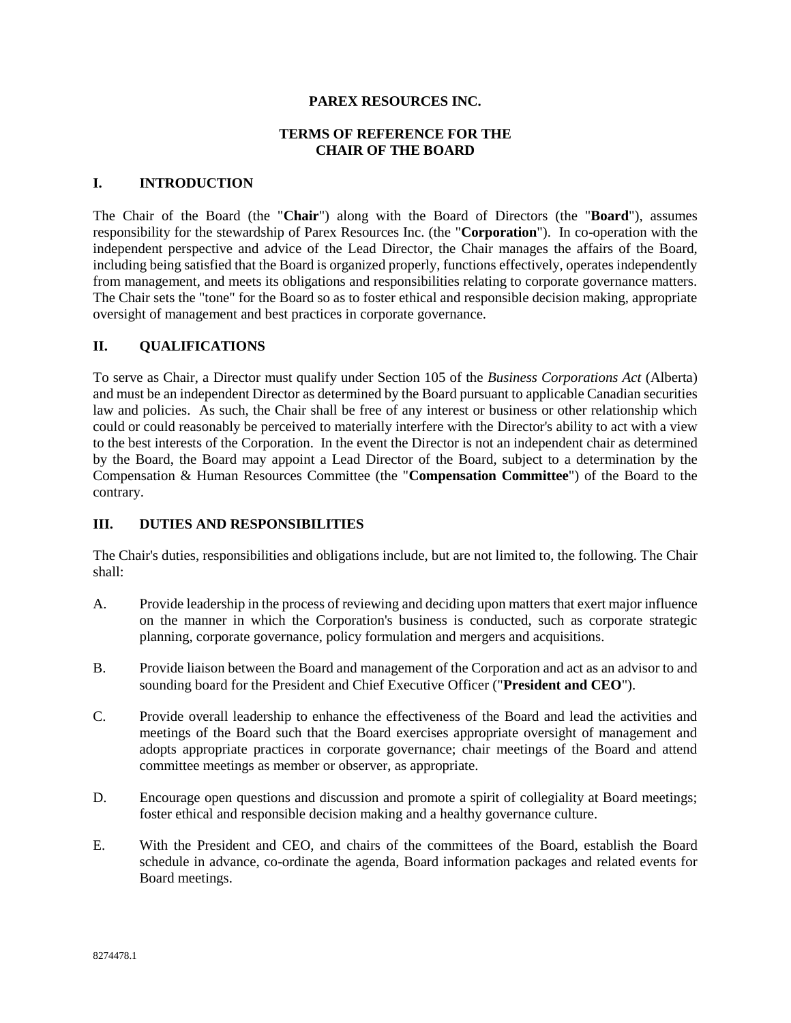### **PAREX RESOURCES INC.**

## **TERMS OF REFERENCE FOR THE CHAIR OF THE BOARD**

#### **I. INTRODUCTION**

The Chair of the Board (the "**Chair**") along with the Board of Directors (the "**Board**"), assumes responsibility for the stewardship of Parex Resources Inc. (the "**Corporation**"). In co-operation with the independent perspective and advice of the Lead Director, the Chair manages the affairs of the Board, including being satisfied that the Board is organized properly, functions effectively, operates independently from management, and meets its obligations and responsibilities relating to corporate governance matters. The Chair sets the "tone" for the Board so as to foster ethical and responsible decision making, appropriate oversight of management and best practices in corporate governance.

## **II. QUALIFICATIONS**

To serve as Chair, a Director must qualify under Section 105 of the *Business Corporations Act* (Alberta) and must be an independent Director as determined by the Board pursuant to applicable Canadian securities law and policies. As such, the Chair shall be free of any interest or business or other relationship which could or could reasonably be perceived to materially interfere with the Director's ability to act with a view to the best interests of the Corporation. In the event the Director is not an independent chair as determined by the Board, the Board may appoint a Lead Director of the Board, subject to a determination by the Compensation & Human Resources Committee (the "**Compensation Committee**") of the Board to the contrary.

# **III. DUTIES AND RESPONSIBILITIES**

The Chair's duties, responsibilities and obligations include, but are not limited to, the following. The Chair shall:

- A. Provide leadership in the process of reviewing and deciding upon matters that exert major influence on the manner in which the Corporation's business is conducted, such as corporate strategic planning, corporate governance, policy formulation and mergers and acquisitions.
- B. Provide liaison between the Board and management of the Corporation and act as an advisor to and sounding board for the President and Chief Executive Officer ("**President and CEO**").
- C. Provide overall leadership to enhance the effectiveness of the Board and lead the activities and meetings of the Board such that the Board exercises appropriate oversight of management and adopts appropriate practices in corporate governance; chair meetings of the Board and attend committee meetings as member or observer, as appropriate.
- D. Encourage open questions and discussion and promote a spirit of collegiality at Board meetings; foster ethical and responsible decision making and a healthy governance culture.
- E. With the President and CEO, and chairs of the committees of the Board, establish the Board schedule in advance, co-ordinate the agenda, Board information packages and related events for Board meetings.